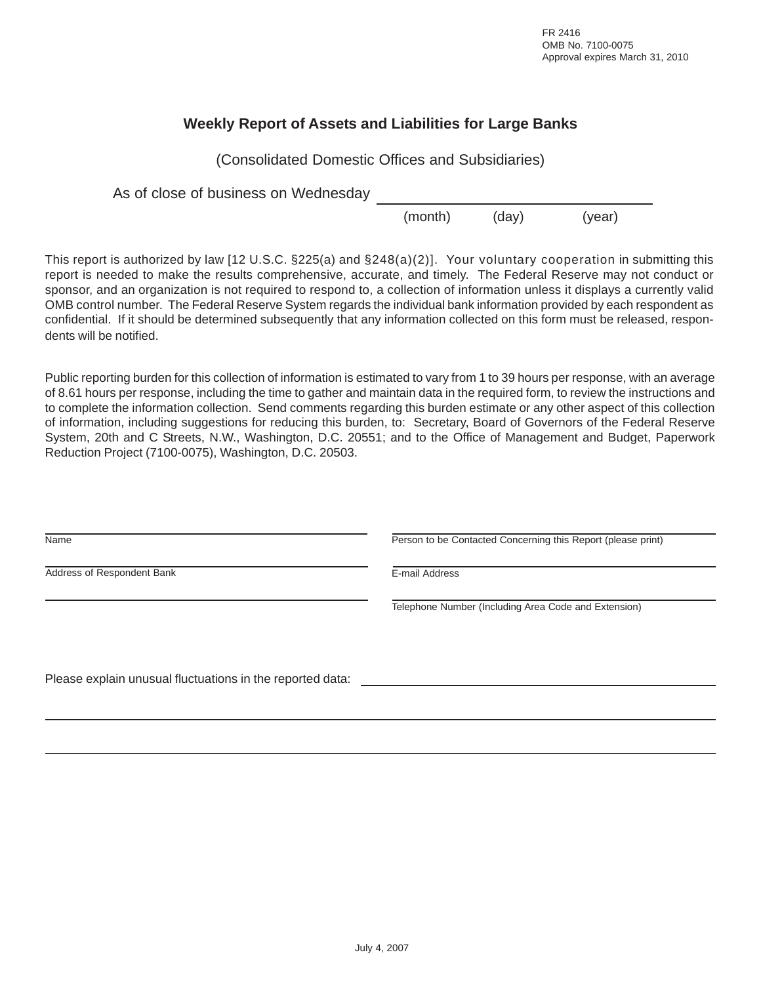FR 2416 OMB No. 7100-0075 Approval expires March 31, 2010

## **Weekly Report of Assets and Liabilities for Large Banks**

(Consolidated Domestic Offices and Subsidiaries)

As of close of business on Wednesday

(month) (day) (year)

This report is authorized by law [12 U.S.C. §225(a) and §248(a)(2)]. Your voluntary cooperation in submitting this report is needed to make the results comprehensive, accurate, and timely. The Federal Reserve may not conduct or sponsor, and an organization is not required to respond to, a collection of information unless it displays a currently valid OMB control number. The Federal Reserve System regards the individual bank information provided by each respondent as confidential. If it should be determined subsequently that any information collected on this form must be released, respondents will be notified.

Public reporting burden for this collection of information is estimated to vary from 1 to 39 hours per response, with an average of 8.61 hours per response, including the time to gather and maintain data in the required form, to review the instructions and to complete the information collection. Send comments regarding this burden estimate or any other aspect of this collection of information, including suggestions for reducing this burden, to: Secretary, Board of Governors of the Federal Reserve System, 20th and C Streets, N.W., Washington, D.C. 20551; and to the Office of Management and Budget, Paperwork Reduction Project (7100-0075), Washington, D.C. 20503.

| Name                                                      | Person to be Contacted Concerning this Report (please print) |  |  |  |  |  |
|-----------------------------------------------------------|--------------------------------------------------------------|--|--|--|--|--|
| Address of Respondent Bank                                | E-mail Address                                               |  |  |  |  |  |
|                                                           | Telephone Number (Including Area Code and Extension)         |  |  |  |  |  |
| Please explain unusual fluctuations in the reported data: |                                                              |  |  |  |  |  |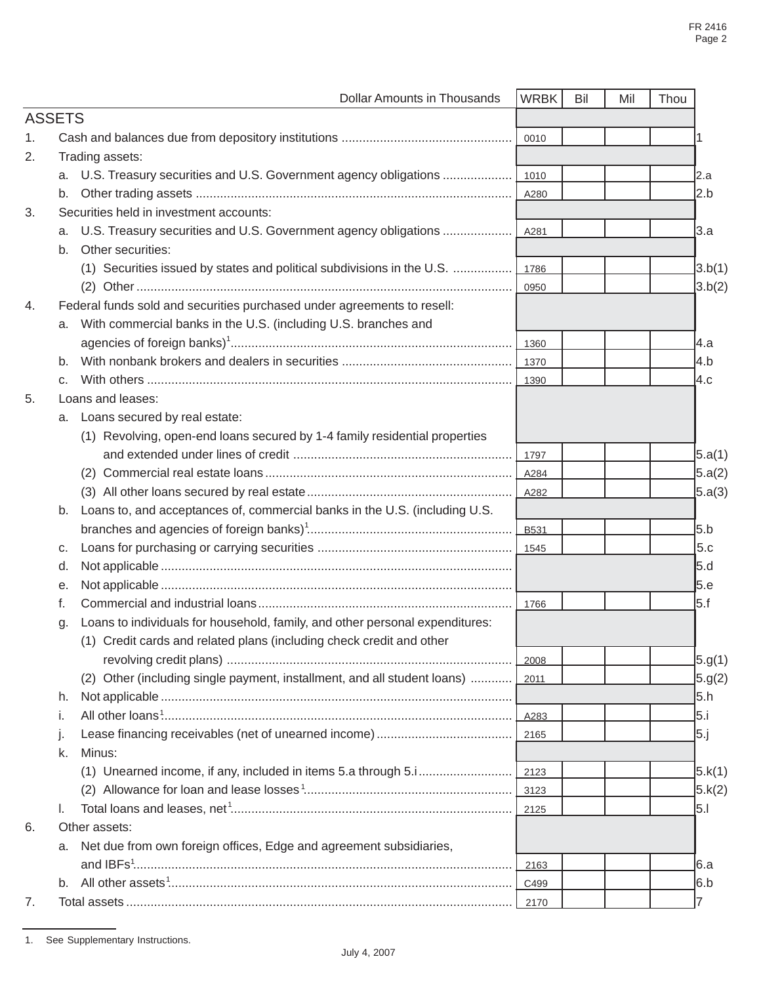|                |    | <b>Dollar Amounts in Thousands</b>                                            | <b>WRBK</b> | Bil | Mil | Thou        |
|----------------|----|-------------------------------------------------------------------------------|-------------|-----|-----|-------------|
| <b>ASSETS</b>  |    |                                                                               |             |     |     |             |
| $\mathbf{1}$ . |    |                                                                               | 0010        |     |     |             |
| 2.             |    | Trading assets:                                                               |             |     |     |             |
|                |    | a. U.S. Treasury securities and U.S. Government agency obligations            | 1010        |     |     | l2.a        |
|                | b. |                                                                               | A280        |     |     |             |
| 3.             |    | Securities held in investment accounts:                                       |             |     |     |             |
|                | a. | U.S. Treasury securities and U.S. Government agency obligations               | A281        |     |     |             |
|                | b. | Other securities:                                                             |             |     |     |             |
|                |    | (1) Securities issued by states and political subdivisions in the U.S.        | 1786        |     |     | 3.b(1)      |
|                |    |                                                                               | 0950        |     |     |             |
| 4.             |    | Federal funds sold and securities purchased under agreements to resell:       |             |     |     |             |
|                | а. | With commercial banks in the U.S. (including U.S. branches and                |             |     |     |             |
|                |    |                                                                               | 1360        |     |     |             |
|                | b. |                                                                               | 1370        |     |     |             |
|                | C. |                                                                               | 1390        |     |     |             |
| 5.             |    | Loans and leases:                                                             |             |     |     |             |
|                |    | a. Loans secured by real estate:                                              |             |     |     |             |
|                |    | (1) Revolving, open-end loans secured by 1-4 family residential properties    |             |     |     |             |
|                |    |                                                                               | 1797        |     |     | 5.a(1)      |
|                |    |                                                                               | A284        |     |     |             |
|                |    |                                                                               |             |     |     | [5.a(3)     |
|                |    | b. Loans to, and acceptances of, commercial banks in the U.S. (including U.S. |             |     |     |             |
|                |    |                                                                               | B531        |     |     |             |
|                | С. |                                                                               | 1545        |     |     |             |
|                | d. |                                                                               |             |     |     | <b>5.d</b>  |
|                | е. |                                                                               |             |     |     | l5.е        |
|                | f. |                                                                               | 1766        |     |     | l5.f        |
|                | g. | Loans to individuals for household, family, and other personal expenditures:  |             |     |     |             |
|                |    | (1) Credit cards and related plans (including check credit and other          |             |     |     |             |
|                |    |                                                                               | 2008        |     |     | 5.9(1)      |
|                |    | (2) Other (including single payment, installment, and all student loans)      | 2011        |     |     | 5.9(2)      |
|                | h. |                                                                               |             |     |     | <b>5</b> .h |
|                | Τ. |                                                                               | A283        |     |     | 5.i         |
|                |    |                                                                               | 2165        |     |     | 5.j         |
|                | k. | Minus:                                                                        |             |     |     |             |
|                |    | (1) Unearned income, if any, included in items 5.a through 5.i                | 2123        |     |     | 5. k(1)     |
|                |    |                                                                               | 3123        |     |     | J5.k(2)     |
|                | I. |                                                                               | 2125        |     |     | 5.1         |
| 6.             |    | Other assets:                                                                 |             |     |     |             |
|                |    | a. Net due from own foreign offices, Edge and agreement subsidiaries,         |             |     |     |             |
|                |    |                                                                               | 2163        |     |     | 6.a         |
|                |    |                                                                               | C499        |     |     | 6.b         |
| 7.             |    |                                                                               | 2170        |     |     |             |